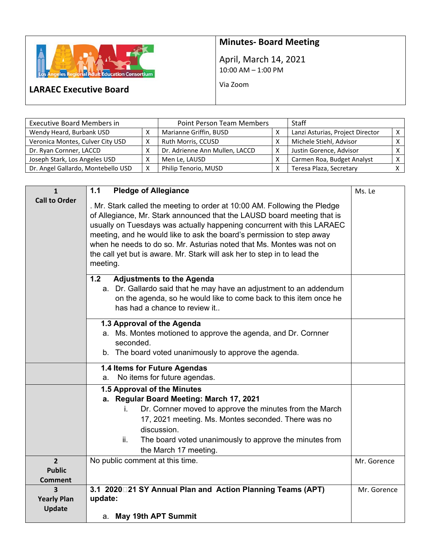

## **Minutes‐ Board Meeting**

April, March 14, 2021 10:00 AM – 1:00 PM

Via Zoom

## **LARAEC Executive Board**

| <b>Executive Board Members in</b>  | Point Person Team Members |                                | <b>Staff</b> |                                  |  |
|------------------------------------|---------------------------|--------------------------------|--------------|----------------------------------|--|
| Wendy Heard, Burbank USD           |                           | Marianne Griffin, BUSD         |              | Lanzi Asturias, Project Director |  |
| Veronica Montes, Culver City USD   | х                         | Ruth Morris, CCUSD             |              | Michele Stiehl, Advisor          |  |
| Dr. Ryan Cornner, LACCD            |                           | Dr. Adrienne Ann Mullen, LACCD |              | Justin Gorence, Advisor          |  |
| Joseph Stark, Los Angeles USD      |                           | Men Le, LAUSD                  |              | Carmen Roa, Budget Analyst       |  |
| Dr. Angel Gallardo, Montebello USD | X                         | Philip Tenorio, MUSD           |              | Teresa Plaza, Secretary          |  |

| $\mathbf{1}$                                      | <b>Pledge of Allegiance</b><br>1.1                                                                                                                                                                                                                                                                                                                                                                                                                                       | Ms. Le      |
|---------------------------------------------------|--------------------------------------------------------------------------------------------------------------------------------------------------------------------------------------------------------------------------------------------------------------------------------------------------------------------------------------------------------------------------------------------------------------------------------------------------------------------------|-------------|
| <b>Call to Order</b>                              | . Mr. Stark called the meeting to order at 10:00 AM. Following the Pledge<br>of Allegiance, Mr. Stark announced that the LAUSD board meeting that is<br>usually on Tuesdays was actually happening concurrent with this LARAEC<br>meeting, and he would like to ask the board's permission to step away<br>when he needs to do so. Mr. Asturias noted that Ms. Montes was not on<br>the call yet but is aware. Mr. Stark will ask her to step in to lead the<br>meeting. |             |
|                                                   | 1.2<br><b>Adjustments to the Agenda</b><br>a. Dr. Gallardo said that he may have an adjustment to an addendum<br>on the agenda, so he would like to come back to this item once he<br>has had a chance to review it                                                                                                                                                                                                                                                      |             |
|                                                   | 1.3 Approval of the Agenda<br>a. Ms. Montes motioned to approve the agenda, and Dr. Cornner<br>seconded.<br>b. The board voted unanimously to approve the agenda.                                                                                                                                                                                                                                                                                                        |             |
|                                                   | 1.4 Items for Future Agendas<br>No items for future agendas.<br>a.                                                                                                                                                                                                                                                                                                                                                                                                       |             |
|                                                   | 1.5 Approval of the Minutes<br>a. Regular Board Meeting: March 17, 2021<br>Dr. Cornner moved to approve the minutes from the March<br>İ.<br>17, 2021 meeting. Ms. Montes seconded. There was no<br>discussion.<br>ii.<br>The board voted unanimously to approve the minutes from<br>the March 17 meeting.                                                                                                                                                                |             |
| $\overline{2}$<br><b>Public</b><br><b>Comment</b> | No public comment at this time.                                                                                                                                                                                                                                                                                                                                                                                                                                          | Mr. Gorence |
| 3<br><b>Yearly Plan</b><br><b>Update</b>          | 3.1 2020 21 SY Annual Plan and Action Planning Teams (APT)<br>update:<br>a. May 19th APT Summit                                                                                                                                                                                                                                                                                                                                                                          | Mr. Gorence |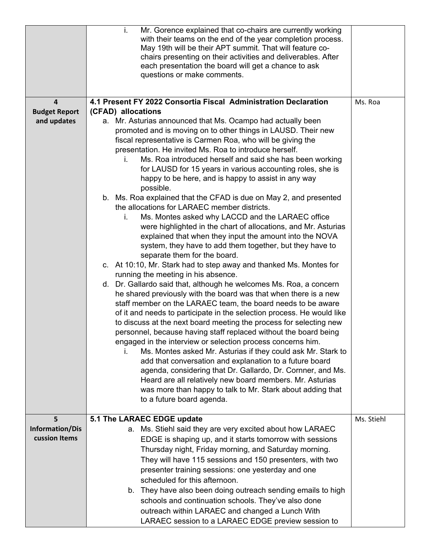|                         | i.<br>Mr. Gorence explained that co-chairs are currently working<br>with their teams on the end of the year completion process.<br>May 19th will be their APT summit. That will feature co-<br>chairs presenting on their activities and deliverables. After<br>each presentation the board will get a chance to ask<br>questions or make comments.                                                                                                                                                                                                                                                                                                                                                                                                                                                                                                                                                                                                                                                                                                                                                                                                                                                                                                                                                                                                                                                                                                                                                                                                                                                    |            |
|-------------------------|--------------------------------------------------------------------------------------------------------------------------------------------------------------------------------------------------------------------------------------------------------------------------------------------------------------------------------------------------------------------------------------------------------------------------------------------------------------------------------------------------------------------------------------------------------------------------------------------------------------------------------------------------------------------------------------------------------------------------------------------------------------------------------------------------------------------------------------------------------------------------------------------------------------------------------------------------------------------------------------------------------------------------------------------------------------------------------------------------------------------------------------------------------------------------------------------------------------------------------------------------------------------------------------------------------------------------------------------------------------------------------------------------------------------------------------------------------------------------------------------------------------------------------------------------------------------------------------------------------|------------|
| $\overline{\mathbf{4}}$ | 4.1 Present FY 2022 Consortia Fiscal Administration Declaration                                                                                                                                                                                                                                                                                                                                                                                                                                                                                                                                                                                                                                                                                                                                                                                                                                                                                                                                                                                                                                                                                                                                                                                                                                                                                                                                                                                                                                                                                                                                        | Ms. Roa    |
| <b>Budget Report</b>    | (CFAD) allocations                                                                                                                                                                                                                                                                                                                                                                                                                                                                                                                                                                                                                                                                                                                                                                                                                                                                                                                                                                                                                                                                                                                                                                                                                                                                                                                                                                                                                                                                                                                                                                                     |            |
| and updates             | a. Mr. Asturias announced that Ms. Ocampo had actually been<br>promoted and is moving on to other things in LAUSD. Their new<br>fiscal representative is Carmen Roa, who will be giving the<br>presentation. He invited Ms. Roa to introduce herself.<br>Ms. Roa introduced herself and said she has been working<br>İ.<br>for LAUSD for 15 years in various accounting roles, she is<br>happy to be here, and is happy to assist in any way<br>possible.<br>b. Ms. Roa explained that the CFAD is due on May 2, and presented<br>the allocations for LARAEC member districts.<br>Ms. Montes asked why LACCD and the LARAEC office<br>i.<br>were highlighted in the chart of allocations, and Mr. Asturias<br>explained that when they input the amount into the NOVA<br>system, they have to add them together, but they have to<br>separate them for the board.<br>c. At 10:10, Mr. Stark had to step away and thanked Ms. Montes for<br>running the meeting in his absence.<br>d. Dr. Gallardo said that, although he welcomes Ms. Roa, a concern<br>he shared previously with the board was that when there is a new<br>staff member on the LARAEC team, the board needs to be aware<br>of it and needs to participate in the selection process. He would like<br>to discuss at the next board meeting the process for selecting new<br>personnel, because having staff replaced without the board being<br>engaged in the interview or selection process concerns him.<br>Ms. Montes asked Mr. Asturias if they could ask Mr. Stark to<br>add that conversation and explanation to a future board |            |
|                         | agenda, considering that Dr. Gallardo, Dr. Cornner, and Ms.<br>Heard are all relatively new board members. Mr. Asturias                                                                                                                                                                                                                                                                                                                                                                                                                                                                                                                                                                                                                                                                                                                                                                                                                                                                                                                                                                                                                                                                                                                                                                                                                                                                                                                                                                                                                                                                                |            |
|                         | was more than happy to talk to Mr. Stark about adding that                                                                                                                                                                                                                                                                                                                                                                                                                                                                                                                                                                                                                                                                                                                                                                                                                                                                                                                                                                                                                                                                                                                                                                                                                                                                                                                                                                                                                                                                                                                                             |            |
|                         | to a future board agenda.                                                                                                                                                                                                                                                                                                                                                                                                                                                                                                                                                                                                                                                                                                                                                                                                                                                                                                                                                                                                                                                                                                                                                                                                                                                                                                                                                                                                                                                                                                                                                                              |            |
| 5                       | 5.1 The LARAEC EDGE update                                                                                                                                                                                                                                                                                                                                                                                                                                                                                                                                                                                                                                                                                                                                                                                                                                                                                                                                                                                                                                                                                                                                                                                                                                                                                                                                                                                                                                                                                                                                                                             | Ms. Stiehl |
| <b>Information/Dis</b>  | a. Ms. Stiehl said they are very excited about how LARAEC                                                                                                                                                                                                                                                                                                                                                                                                                                                                                                                                                                                                                                                                                                                                                                                                                                                                                                                                                                                                                                                                                                                                                                                                                                                                                                                                                                                                                                                                                                                                              |            |
| cussion Items           | EDGE is shaping up, and it starts tomorrow with sessions                                                                                                                                                                                                                                                                                                                                                                                                                                                                                                                                                                                                                                                                                                                                                                                                                                                                                                                                                                                                                                                                                                                                                                                                                                                                                                                                                                                                                                                                                                                                               |            |
|                         | Thursday night, Friday morning, and Saturday morning.                                                                                                                                                                                                                                                                                                                                                                                                                                                                                                                                                                                                                                                                                                                                                                                                                                                                                                                                                                                                                                                                                                                                                                                                                                                                                                                                                                                                                                                                                                                                                  |            |
|                         | They will have 115 sessions and 150 presenters, with two                                                                                                                                                                                                                                                                                                                                                                                                                                                                                                                                                                                                                                                                                                                                                                                                                                                                                                                                                                                                                                                                                                                                                                                                                                                                                                                                                                                                                                                                                                                                               |            |
|                         | presenter training sessions: one yesterday and one                                                                                                                                                                                                                                                                                                                                                                                                                                                                                                                                                                                                                                                                                                                                                                                                                                                                                                                                                                                                                                                                                                                                                                                                                                                                                                                                                                                                                                                                                                                                                     |            |
|                         | scheduled for this afternoon.                                                                                                                                                                                                                                                                                                                                                                                                                                                                                                                                                                                                                                                                                                                                                                                                                                                                                                                                                                                                                                                                                                                                                                                                                                                                                                                                                                                                                                                                                                                                                                          |            |
|                         | b. They have also been doing outreach sending emails to high                                                                                                                                                                                                                                                                                                                                                                                                                                                                                                                                                                                                                                                                                                                                                                                                                                                                                                                                                                                                                                                                                                                                                                                                                                                                                                                                                                                                                                                                                                                                           |            |
|                         | schools and continuation schools. They've also done                                                                                                                                                                                                                                                                                                                                                                                                                                                                                                                                                                                                                                                                                                                                                                                                                                                                                                                                                                                                                                                                                                                                                                                                                                                                                                                                                                                                                                                                                                                                                    |            |
|                         | outreach within LARAEC and changed a Lunch With                                                                                                                                                                                                                                                                                                                                                                                                                                                                                                                                                                                                                                                                                                                                                                                                                                                                                                                                                                                                                                                                                                                                                                                                                                                                                                                                                                                                                                                                                                                                                        |            |
|                         | LARAEC session to a LARAEC EDGE preview session to                                                                                                                                                                                                                                                                                                                                                                                                                                                                                                                                                                                                                                                                                                                                                                                                                                                                                                                                                                                                                                                                                                                                                                                                                                                                                                                                                                                                                                                                                                                                                     |            |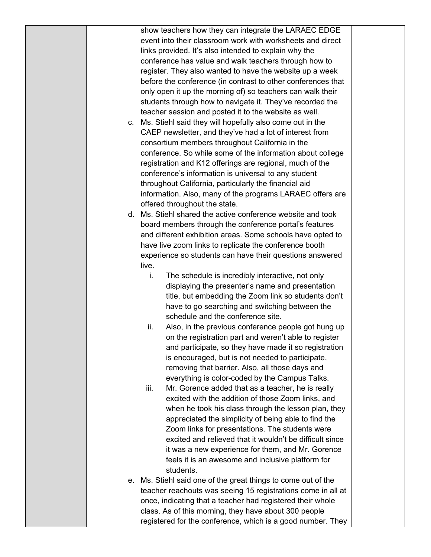| c. | show teachers how they can integrate the LARAEC EDGE<br>event into their classroom work with worksheets and direct<br>links provided. It's also intended to explain why the<br>conference has value and walk teachers through how to<br>register. They also wanted to have the website up a week<br>before the conference (in contrast to other conferences that<br>only open it up the morning of) so teachers can walk their<br>students through how to navigate it. They've recorded the<br>teacher session and posted it to the website as well.<br>Ms. Stiehl said they will hopefully also come out in the<br>CAEP newsletter, and they've had a lot of interest from<br>consortium members throughout California in the<br>conference. So while some of the information about college<br>registration and K12 offerings are regional, much of the<br>conference's information is universal to any student<br>throughout California, particularly the financial aid<br>information. Also, many of the programs LARAEC offers are<br>offered throughout the state.     |  |
|----|-----------------------------------------------------------------------------------------------------------------------------------------------------------------------------------------------------------------------------------------------------------------------------------------------------------------------------------------------------------------------------------------------------------------------------------------------------------------------------------------------------------------------------------------------------------------------------------------------------------------------------------------------------------------------------------------------------------------------------------------------------------------------------------------------------------------------------------------------------------------------------------------------------------------------------------------------------------------------------------------------------------------------------------------------------------------------------|--|
| d. | Ms. Stiehl shared the active conference website and took                                                                                                                                                                                                                                                                                                                                                                                                                                                                                                                                                                                                                                                                                                                                                                                                                                                                                                                                                                                                                    |  |
|    | board members through the conference portal's features<br>and different exhibition areas. Some schools have opted to<br>have live zoom links to replicate the conference booth<br>experience so students can have their questions answered<br>live.                                                                                                                                                                                                                                                                                                                                                                                                                                                                                                                                                                                                                                                                                                                                                                                                                         |  |
|    | The schedule is incredibly interactive, not only<br>i.<br>displaying the presenter's name and presentation<br>title, but embedding the Zoom link so students don't<br>have to go searching and switching between the<br>schedule and the conference site.<br>Also, in the previous conference people got hung up<br>ii.<br>on the registration part and weren't able to register<br>and participate, so they have made it so registration<br>is encouraged, but is not needed to participate,<br>removing that barrier. Also, all those days and<br>everything is color-coded by the Campus Talks.<br>iii.<br>Mr. Gorence added that as a teacher, he is really<br>excited with the addition of those Zoom links, and<br>when he took his class through the lesson plan, they<br>appreciated the simplicity of being able to find the<br>Zoom links for presentations. The students were<br>excited and relieved that it wouldn't be difficult since<br>it was a new experience for them, and Mr. Gorence<br>feels it is an awesome and inclusive platform for<br>students. |  |
| е. | Ms. Stiehl said one of the great things to come out of the<br>teacher reachouts was seeing 15 registrations come in all at<br>once, indicating that a teacher had registered their whole<br>class. As of this morning, they have about 300 people<br>registered for the conference, which is a good number. They                                                                                                                                                                                                                                                                                                                                                                                                                                                                                                                                                                                                                                                                                                                                                            |  |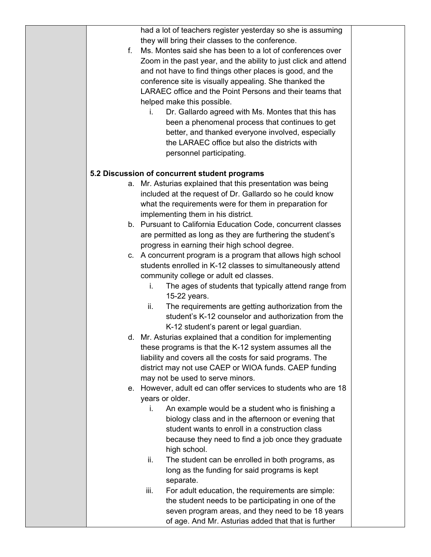| had a lot of teachers register yesterday so she is assuming<br>they will bring their classes to the conference.<br>f.<br>Ms. Montes said she has been to a lot of conferences over<br>Zoom in the past year, and the ability to just click and attend<br>and not have to find things other places is good, and the<br>conference site is visually appealing. She thanked the |  |
|------------------------------------------------------------------------------------------------------------------------------------------------------------------------------------------------------------------------------------------------------------------------------------------------------------------------------------------------------------------------------|--|
|                                                                                                                                                                                                                                                                                                                                                                              |  |
|                                                                                                                                                                                                                                                                                                                                                                              |  |
|                                                                                                                                                                                                                                                                                                                                                                              |  |
|                                                                                                                                                                                                                                                                                                                                                                              |  |
|                                                                                                                                                                                                                                                                                                                                                                              |  |
|                                                                                                                                                                                                                                                                                                                                                                              |  |
| LARAEC office and the Point Persons and their teams that                                                                                                                                                                                                                                                                                                                     |  |
| helped make this possible.                                                                                                                                                                                                                                                                                                                                                   |  |
| Dr. Gallardo agreed with Ms. Montes that this has<br>i.                                                                                                                                                                                                                                                                                                                      |  |
| been a phenomenal process that continues to get                                                                                                                                                                                                                                                                                                                              |  |
| better, and thanked everyone involved, especially                                                                                                                                                                                                                                                                                                                            |  |
| the LARAEC office but also the districts with                                                                                                                                                                                                                                                                                                                                |  |
| personnel participating.                                                                                                                                                                                                                                                                                                                                                     |  |
|                                                                                                                                                                                                                                                                                                                                                                              |  |
| 5.2 Discussion of concurrent student programs                                                                                                                                                                                                                                                                                                                                |  |
| a. Mr. Asturias explained that this presentation was being                                                                                                                                                                                                                                                                                                                   |  |
| included at the request of Dr. Gallardo so he could know                                                                                                                                                                                                                                                                                                                     |  |
| what the requirements were for them in preparation for                                                                                                                                                                                                                                                                                                                       |  |
| implementing them in his district.                                                                                                                                                                                                                                                                                                                                           |  |
| b. Pursuant to California Education Code, concurrent classes                                                                                                                                                                                                                                                                                                                 |  |
| are permitted as long as they are furthering the student's                                                                                                                                                                                                                                                                                                                   |  |
| progress in earning their high school degree.                                                                                                                                                                                                                                                                                                                                |  |
| c. A concurrent program is a program that allows high school                                                                                                                                                                                                                                                                                                                 |  |
| students enrolled in K-12 classes to simultaneously attend                                                                                                                                                                                                                                                                                                                   |  |
| community college or adult ed classes.                                                                                                                                                                                                                                                                                                                                       |  |
| The ages of students that typically attend range from<br>i.                                                                                                                                                                                                                                                                                                                  |  |
| 15-22 years.                                                                                                                                                                                                                                                                                                                                                                 |  |
| ii.<br>The requirements are getting authorization from the                                                                                                                                                                                                                                                                                                                   |  |
| student's K-12 counselor and authorization from the                                                                                                                                                                                                                                                                                                                          |  |
| K-12 student's parent or legal guardian.                                                                                                                                                                                                                                                                                                                                     |  |
| d. Mr. Asturias explained that a condition for implementing                                                                                                                                                                                                                                                                                                                  |  |
| these programs is that the K-12 system assumes all the                                                                                                                                                                                                                                                                                                                       |  |
| liability and covers all the costs for said programs. The                                                                                                                                                                                                                                                                                                                    |  |
| district may not use CAEP or WIOA funds. CAEP funding                                                                                                                                                                                                                                                                                                                        |  |
| may not be used to serve minors.                                                                                                                                                                                                                                                                                                                                             |  |
| However, adult ed can offer services to students who are 18<br>е.                                                                                                                                                                                                                                                                                                            |  |
| years or older.                                                                                                                                                                                                                                                                                                                                                              |  |
| An example would be a student who is finishing a<br>i.                                                                                                                                                                                                                                                                                                                       |  |
| biology class and in the afternoon or evening that                                                                                                                                                                                                                                                                                                                           |  |
| student wants to enroll in a construction class                                                                                                                                                                                                                                                                                                                              |  |
| because they need to find a job once they graduate                                                                                                                                                                                                                                                                                                                           |  |
| high school.                                                                                                                                                                                                                                                                                                                                                                 |  |
| ii.<br>The student can be enrolled in both programs, as                                                                                                                                                                                                                                                                                                                      |  |
| long as the funding for said programs is kept                                                                                                                                                                                                                                                                                                                                |  |
| separate.                                                                                                                                                                                                                                                                                                                                                                    |  |
| iii.<br>For adult education, the requirements are simple:                                                                                                                                                                                                                                                                                                                    |  |
| the student needs to be participating in one of the                                                                                                                                                                                                                                                                                                                          |  |
| seven program areas, and they need to be 18 years                                                                                                                                                                                                                                                                                                                            |  |
| of age. And Mr. Asturias added that that is further                                                                                                                                                                                                                                                                                                                          |  |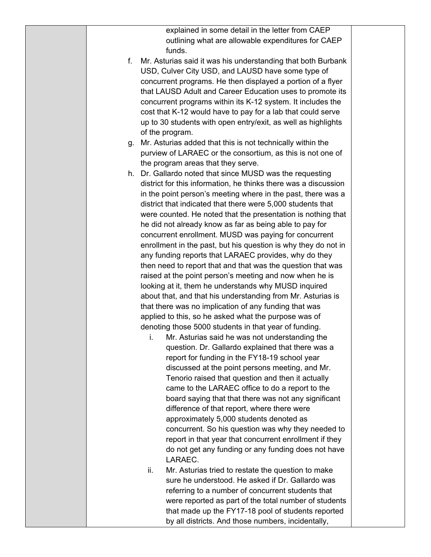| explained in some detail in the letter from CAEP                                                             |  |
|--------------------------------------------------------------------------------------------------------------|--|
| outlining what are allowable expenditures for CAEP                                                           |  |
| funds.                                                                                                       |  |
| Mr. Asturias said it was his understanding that both Burbank<br>f.                                           |  |
| USD, Culver City USD, and LAUSD have some type of                                                            |  |
| concurrent programs. He then displayed a portion of a flyer                                                  |  |
| that LAUSD Adult and Career Education uses to promote its                                                    |  |
| concurrent programs within its K-12 system. It includes the                                                  |  |
| cost that K-12 would have to pay for a lab that could serve                                                  |  |
| up to 30 students with open entry/exit, as well as highlights                                                |  |
| of the program.                                                                                              |  |
| g. Mr. Asturias added that this is not technically within the                                                |  |
| purview of LARAEC or the consortium, as this is not one of                                                   |  |
| the program areas that they serve.                                                                           |  |
| h. Dr. Gallardo noted that since MUSD was the requesting                                                     |  |
| district for this information, he thinks there was a discussion                                              |  |
| in the point person's meeting where in the past, there was a                                                 |  |
| district that indicated that there were 5,000 students that                                                  |  |
| were counted. He noted that the presentation is nothing that                                                 |  |
| he did not already know as far as being able to pay for                                                      |  |
| concurrent enrollment. MUSD was paying for concurrent                                                        |  |
| enrollment in the past, but his question is why they do not in                                               |  |
| any funding reports that LARAEC provides, why do they                                                        |  |
| then need to report that and that was the question that was                                                  |  |
| raised at the point person's meeting and now when he is                                                      |  |
| looking at it, them he understands why MUSD inquired                                                         |  |
| about that, and that his understanding from Mr. Asturias is                                                  |  |
| that there was no implication of any funding that was                                                        |  |
| applied to this, so he asked what the purpose was of                                                         |  |
| denoting those 5000 students in that year of funding.                                                        |  |
| i.<br>Mr. Asturias said he was not understanding the                                                         |  |
| question. Dr. Gallardo explained that there was a                                                            |  |
| report for funding in the FY18-19 school year                                                                |  |
| discussed at the point persons meeting, and Mr.                                                              |  |
| Tenorio raised that question and then it actually                                                            |  |
| came to the LARAEC office to do a report to the                                                              |  |
| board saying that that there was not any significant                                                         |  |
| difference of that report, where there were                                                                  |  |
| approximately 5,000 students denoted as                                                                      |  |
| concurrent. So his question was why they needed to<br>report in that year that concurrent enrollment if they |  |
| do not get any funding or any funding does not have                                                          |  |
| LARAEC.                                                                                                      |  |
| Mr. Asturias tried to restate the question to make<br>ii.                                                    |  |
| sure he understood. He asked if Dr. Gallardo was                                                             |  |
| referring to a number of concurrent students that                                                            |  |
| were reported as part of the total number of students                                                        |  |
| that made up the FY17-18 pool of students reported                                                           |  |
| by all districts. And those numbers, incidentally,                                                           |  |
|                                                                                                              |  |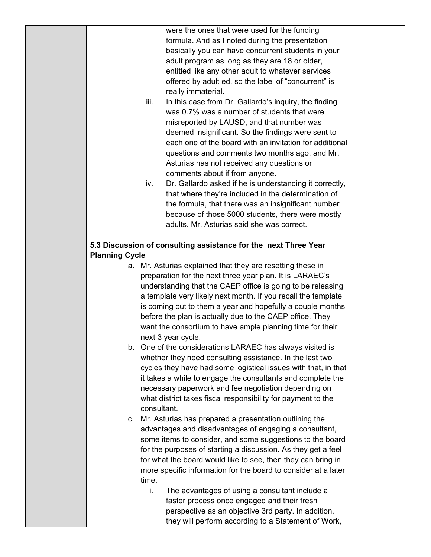were the ones that were used for the funding formula. And as I noted during the presentation basically you can have concurrent students in your adult program as long as they are 18 or older, entitled like any other adult to whatever services offered by adult ed, so the label of "concurrent" is really immaterial.

- iii. In this case from Dr. Gallardo's inquiry, the finding was 0.7% was a number of students that were misreported by LAUSD, and that number was deemed insignificant. So the findings were sent to each one of the board with an invitation for additional questions and comments two months ago, and Mr. Asturias has not received any questions or comments about if from anyone.
- iv. Dr. Gallardo asked if he is understanding it correctly, that where they're included in the determination of the formula, that there was an insignificant number because of those 5000 students, there were mostly adults. Mr. Asturias said she was correct.

## **5.3 Discussion of consulting assistance for the next Three Year Planning Cycle**

- a. Mr. Asturias explained that they are resetting these in preparation for the next three year plan. It is LARAEC's understanding that the CAEP office is going to be releasing a template very likely next month. If you recall the template is coming out to them a year and hopefully a couple months before the plan is actually due to the CAEP office. They want the consortium to have ample planning time for their next 3 year cycle.
- b. One of the considerations LARAEC has always visited is whether they need consulting assistance. In the last two cycles they have had some logistical issues with that, in that it takes a while to engage the consultants and complete the necessary paperwork and fee negotiation depending on what district takes fiscal responsibility for payment to the consultant.
- c. Mr. Asturias has prepared a presentation outlining the advantages and disadvantages of engaging a consultant, some items to consider, and some suggestions to the board for the purposes of starting a discussion. As they get a feel for what the board would like to see, then they can bring in more specific information for the board to consider at a later time.
	- i. The advantages of using a consultant include a faster process once engaged and their fresh perspective as an objective 3rd party. In addition, they will perform according to a Statement of Work,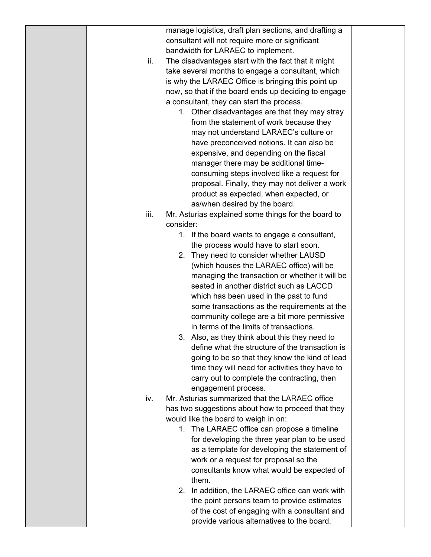|      | manage logistics, draft plan sections, and drafting a                                             |  |
|------|---------------------------------------------------------------------------------------------------|--|
|      | consultant will not require more or significant                                                   |  |
|      | bandwidth for LARAEC to implement.                                                                |  |
| ii.  | The disadvantages start with the fact that it might                                               |  |
|      | take several months to engage a consultant, which                                                 |  |
|      | is why the LARAEC Office is bringing this point up                                                |  |
|      | now, so that if the board ends up deciding to engage                                              |  |
|      | a consultant, they can start the process.                                                         |  |
|      | 1. Other disadvantages are that they may stray                                                    |  |
|      | from the statement of work because they                                                           |  |
|      | may not understand LARAEC's culture or                                                            |  |
|      | have preconceived notions. It can also be                                                         |  |
|      | expensive, and depending on the fiscal                                                            |  |
|      | manager there may be additional time-                                                             |  |
|      | consuming steps involved like a request for                                                       |  |
|      | proposal. Finally, they may not deliver a work                                                    |  |
|      | product as expected, when expected, or                                                            |  |
|      | as/when desired by the board.                                                                     |  |
| iii. | Mr. Asturias explained some things for the board to                                               |  |
|      | consider:                                                                                         |  |
|      | 1. If the board wants to engage a consultant,                                                     |  |
|      | the process would have to start soon.                                                             |  |
|      | 2. They need to consider whether LAUSD                                                            |  |
|      | (which houses the LARAEC office) will be                                                          |  |
|      | managing the transaction or whether it will be                                                    |  |
|      | seated in another district such as LACCD                                                          |  |
|      | which has been used in the past to fund                                                           |  |
|      | some transactions as the requirements at the                                                      |  |
|      | community college are a bit more permissive                                                       |  |
|      | in terms of the limits of transactions.                                                           |  |
|      |                                                                                                   |  |
|      | 3. Also, as they think about this they need to<br>define what the structure of the transaction is |  |
|      |                                                                                                   |  |
|      | going to be so that they know the kind of lead                                                    |  |
|      | time they will need for activities they have to                                                   |  |
|      | carry out to complete the contracting, then                                                       |  |
|      | engagement process.                                                                               |  |
| iv.  | Mr. Asturias summarized that the LARAEC office                                                    |  |
|      | has two suggestions about how to proceed that they                                                |  |
|      | would like the board to weigh in on:                                                              |  |
|      | 1. The LARAEC office can propose a timeline                                                       |  |
|      | for developing the three year plan to be used                                                     |  |
|      | as a template for developing the statement of                                                     |  |
|      | work or a request for proposal so the                                                             |  |
|      | consultants know what would be expected of                                                        |  |
|      | them.                                                                                             |  |
|      | 2. In addition, the LARAEC office can work with                                                   |  |
|      | the point persons team to provide estimates                                                       |  |
|      | of the cost of engaging with a consultant and                                                     |  |
|      | provide various alternatives to the board.                                                        |  |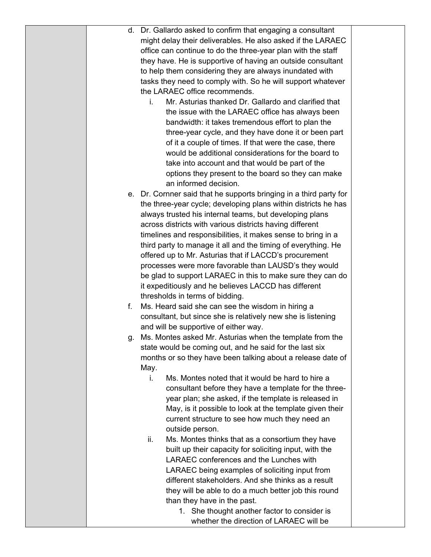|    | d. Dr. Gallardo asked to confirm that engaging a consultant        |  |
|----|--------------------------------------------------------------------|--|
|    | might delay their deliverables. He also asked if the LARAEC        |  |
|    | office can continue to do the three-year plan with the staff       |  |
|    | they have. He is supportive of having an outside consultant        |  |
|    | to help them considering they are always inundated with            |  |
|    | tasks they need to comply with. So he will support whatever        |  |
|    | the LARAEC office recommends.                                      |  |
|    | Mr. Asturias thanked Dr. Gallardo and clarified that<br>i.         |  |
|    | the issue with the LARAEC office has always been                   |  |
|    | bandwidth: it takes tremendous effort to plan the                  |  |
|    | three-year cycle, and they have done it or been part               |  |
|    | of it a couple of times. If that were the case, there              |  |
|    | would be additional considerations for the board to                |  |
|    | take into account and that would be part of the                    |  |
|    | options they present to the board so they can make                 |  |
|    | an informed decision.                                              |  |
|    | e. Dr. Cornner said that he supports bringing in a third party for |  |
|    | the three-year cycle; developing plans within districts he has     |  |
|    | always trusted his internal teams, but developing plans            |  |
|    | across districts with various districts having different           |  |
|    | timelines and responsibilities, it makes sense to bring in a       |  |
|    | third party to manage it all and the timing of everything. He      |  |
|    | offered up to Mr. Asturias that if LACCD's procurement             |  |
|    | processes were more favorable than LAUSD's they would              |  |
|    | be glad to support LARAEC in this to make sure they can do         |  |
|    | it expeditiously and he believes LACCD has different               |  |
|    | thresholds in terms of bidding.                                    |  |
| f. | Ms. Heard said she can see the wisdom in hiring a                  |  |
|    | consultant, but since she is relatively new she is listening       |  |
|    | and will be supportive of either way.                              |  |
|    | g. Ms. Montes asked Mr. Asturias when the template from the        |  |
|    | state would be coming out, and he said for the last six            |  |
|    | months or so they have been talking about a release date of        |  |
|    | May.                                                               |  |
|    | Ms. Montes noted that it would be hard to hire a<br>i.             |  |
|    | consultant before they have a template for the three-              |  |
|    | year plan; she asked, if the template is released in               |  |
|    | May, is it possible to look at the template given their            |  |
|    | current structure to see how much they need an                     |  |
|    | outside person.                                                    |  |
|    | Ms. Montes thinks that as a consortium they have<br>ii.            |  |
|    | built up their capacity for soliciting input, with the             |  |
|    | LARAEC conferences and the Lunches with                            |  |
|    | LARAEC being examples of soliciting input from                     |  |
|    | different stakeholders. And she thinks as a result                 |  |
|    | they will be able to do a much better job this round               |  |
|    | than they have in the past.                                        |  |
|    | 1. She thought another factor to consider is                       |  |
|    | whether the direction of LARAEC will be                            |  |
|    |                                                                    |  |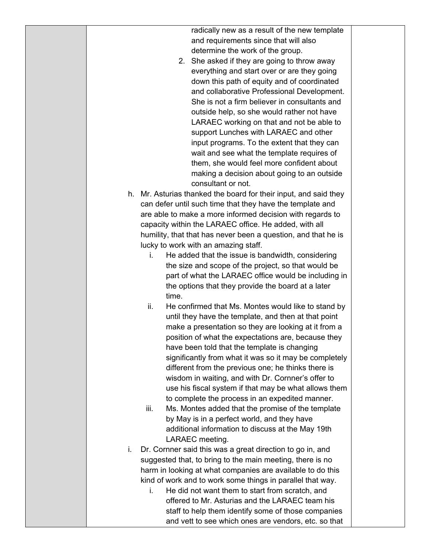radically new as a result of the new template and requirements since that will also determine the work of the group.

- 2. She asked if they are going to throw away everything and start over or are they going down this path of equity and of coordinated and collaborative Professional Development. She is not a firm believer in consultants and outside help, so she would rather not have LARAEC working on that and not be able to support Lunches with LARAEC and other input programs. To the extent that they can wait and see what the template requires of them, she would feel more confident about making a decision about going to an outside consultant or not.
- h. Mr. Asturias thanked the board for their input, and said they can defer until such time that they have the template and are able to make a more informed decision with regards to capacity within the LARAEC office. He added, with all humility, that that has never been a question, and that he is lucky to work with an amazing staff.
	- i. He added that the issue is bandwidth, considering the size and scope of the project, so that would be part of what the LARAEC office would be including in the options that they provide the board at a later time.
	- ii. He confirmed that Ms. Montes would like to stand by until they have the template, and then at that point make a presentation so they are looking at it from a position of what the expectations are, because they have been told that the template is changing significantly from what it was so it may be completely different from the previous one; he thinks there is wisdom in waiting, and with Dr. Cornner's offer to use his fiscal system if that may be what allows them to complete the process in an expedited manner.
	- iii. Ms. Montes added that the promise of the template by May is in a perfect world, and they have additional information to discuss at the May 19th LARAEC meeting.
- i. Dr. Cornner said this was a great direction to go in, and suggested that, to bring to the main meeting, there is no harm in looking at what companies are available to do this kind of work and to work some things in parallel that way.
	- i. He did not want them to start from scratch, and offered to Mr. Asturias and the LARAEC team his staff to help them identify some of those companies and vett to see which ones are vendors, etc. so that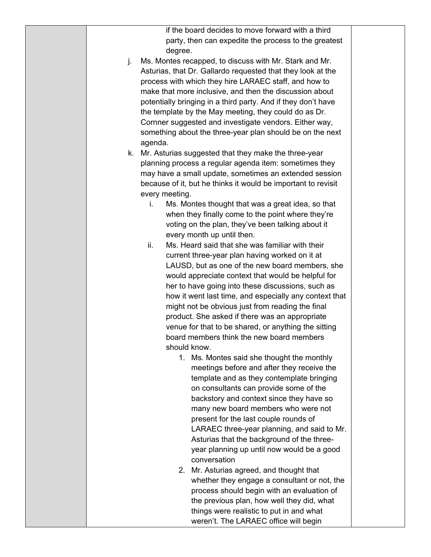| if the board decides to move forward with a third                                        |  |
|------------------------------------------------------------------------------------------|--|
| party, then can expedite the process to the greatest                                     |  |
| degree.                                                                                  |  |
| Ms. Montes recapped, to discuss with Mr. Stark and Mr.<br>j.                             |  |
| Asturias, that Dr. Gallardo requested that they look at the                              |  |
| process with which they hire LARAEC staff, and how to                                    |  |
| make that more inclusive, and then the discussion about                                  |  |
| potentially bringing in a third party. And if they don't have                            |  |
| the template by the May meeting, they could do as Dr.                                    |  |
| Cornner suggested and investigate vendors. Either way,                                   |  |
| something about the three-year plan should be on the next                                |  |
| agenda.                                                                                  |  |
| k. Mr. Asturias suggested that they make the three-year                                  |  |
| planning process a regular agenda item: sometimes they                                   |  |
| may have a small update, sometimes an extended session                                   |  |
| because of it, but he thinks it would be important to revisit                            |  |
| every meeting.                                                                           |  |
| Ms. Montes thought that was a great idea, so that<br>i.                                  |  |
| when they finally come to the point where they're                                        |  |
| voting on the plan, they've been talking about it                                        |  |
| every month up until then.                                                               |  |
| ii.<br>Ms. Heard said that she was familiar with their                                   |  |
| current three-year plan having worked on it at                                           |  |
| LAUSD, but as one of the new board members, she                                          |  |
| would appreciate context that would be helpful for                                       |  |
| her to have going into these discussions, such as                                        |  |
| how it went last time, and especially any context that                                   |  |
| might not be obvious just from reading the final                                         |  |
| product. She asked if there was an appropriate                                           |  |
| venue for that to be shared, or anything the sitting                                     |  |
| board members think the new board members                                                |  |
| should know.                                                                             |  |
| 1. Ms. Montes said she thought the monthly                                               |  |
| meetings before and after they receive the                                               |  |
| template and as they contemplate bringing                                                |  |
| on consultants can provide some of the                                                   |  |
| backstory and context since they have so                                                 |  |
| many new board members who were not                                                      |  |
| present for the last couple rounds of                                                    |  |
| LARAEC three-year planning, and said to Mr.                                              |  |
| Asturias that the background of the three-<br>year planning up until now would be a good |  |
| conversation                                                                             |  |
| 2. Mr. Asturias agreed, and thought that                                                 |  |
| whether they engage a consultant or not, the                                             |  |
| process should begin with an evaluation of                                               |  |
| the previous plan, how well they did, what                                               |  |
| things were realistic to put in and what                                                 |  |
| weren't. The LARAEC office will begin                                                    |  |
|                                                                                          |  |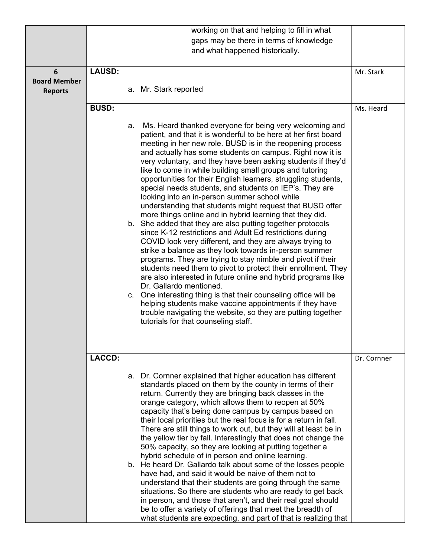|                     |               |    | working on that and helping to fill in what                                                                              |             |
|---------------------|---------------|----|--------------------------------------------------------------------------------------------------------------------------|-------------|
|                     |               |    | gaps may be there in terms of knowledge                                                                                  |             |
|                     |               |    | and what happened historically.                                                                                          |             |
|                     |               |    |                                                                                                                          |             |
| 6                   | <b>LAUSD:</b> |    |                                                                                                                          | Mr. Stark   |
| <b>Board Member</b> |               |    |                                                                                                                          |             |
| <b>Reports</b>      |               |    | a. Mr. Stark reported                                                                                                    |             |
|                     | <b>BUSD:</b>  |    |                                                                                                                          | Ms. Heard   |
|                     |               |    |                                                                                                                          |             |
|                     |               | a. | Ms. Heard thanked everyone for being very welcoming and                                                                  |             |
|                     |               |    | patient, and that it is wonderful to be here at her first board                                                          |             |
|                     |               |    | meeting in her new role. BUSD is in the reopening process                                                                |             |
|                     |               |    | and actually has some students on campus. Right now it is                                                                |             |
|                     |               |    | very voluntary, and they have been asking students if they'd<br>like to come in while building small groups and tutoring |             |
|                     |               |    | opportunities for their English learners, struggling students,                                                           |             |
|                     |               |    | special needs students, and students on IEP's. They are                                                                  |             |
|                     |               |    | looking into an in-person summer school while                                                                            |             |
|                     |               |    | understanding that students might request that BUSD offer                                                                |             |
|                     |               |    | more things online and in hybrid learning that they did.<br>b. She added that they are also putting together protocols   |             |
|                     |               |    | since K-12 restrictions and Adult Ed restrictions during                                                                 |             |
|                     |               |    | COVID look very different, and they are always trying to                                                                 |             |
|                     |               |    | strike a balance as they look towards in-person summer                                                                   |             |
|                     |               |    | programs. They are trying to stay nimble and pivot if their                                                              |             |
|                     |               |    | students need them to pivot to protect their enrollment. They                                                            |             |
|                     |               |    | are also interested in future online and hybrid programs like<br>Dr. Gallardo mentioned.                                 |             |
|                     |               |    | c. One interesting thing is that their counseling office will be                                                         |             |
|                     |               |    | helping students make vaccine appointments if they have                                                                  |             |
|                     |               |    | trouble navigating the website, so they are putting together                                                             |             |
|                     |               |    | tutorials for that counseling staff.                                                                                     |             |
|                     |               |    |                                                                                                                          |             |
|                     |               |    |                                                                                                                          |             |
|                     | <b>LACCD:</b> |    |                                                                                                                          | Dr. Cornner |
|                     |               |    |                                                                                                                          |             |
|                     |               |    | a. Dr. Cornner explained that higher education has different                                                             |             |
|                     |               |    | standards placed on them by the county in terms of their                                                                 |             |
|                     |               |    | return. Currently they are bringing back classes in the                                                                  |             |
|                     |               |    | orange category, which allows them to reopen at 50%<br>capacity that's being done campus by campus based on              |             |
|                     |               |    | their local priorities but the real focus is for a return in fall.                                                       |             |
|                     |               |    | There are still things to work out, but they will at least be in                                                         |             |
|                     |               |    | the yellow tier by fall. Interestingly that does not change the                                                          |             |
|                     |               |    | 50% capacity, so they are looking at putting together a                                                                  |             |
|                     |               |    | hybrid schedule of in person and online learning.                                                                        |             |
|                     |               |    | b. He heard Dr. Gallardo talk about some of the losses people<br>have had, and said it would be naive of them not to     |             |
|                     |               |    | understand that their students are going through the same                                                                |             |
|                     |               |    | situations. So there are students who are ready to get back                                                              |             |
|                     |               |    | in person, and those that aren't, and their real goal should                                                             |             |
|                     |               |    | be to offer a variety of offerings that meet the breadth of                                                              |             |
|                     |               |    | what students are expecting, and part of that is realizing that                                                          |             |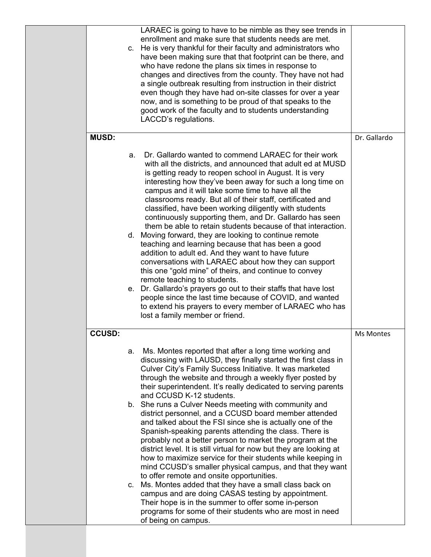|               |    | LARAEC is going to have to be nimble as they see trends in<br>enrollment and make sure that students needs are met.<br>c. He is very thankful for their faculty and administrators who<br>have been making sure that that footprint can be there, and<br>who have redone the plans six times in response to<br>changes and directives from the county. They have not had<br>a single outbreak resulting from instruction in their district<br>even though they have had on-site classes for over a year<br>now, and is something to be proud of that speaks to the<br>good work of the faculty and to students understanding<br>LACCD's regulations.                                                                                                                                                                                                                                                                                                                                                                                                                                                                                                            |              |
|---------------|----|-----------------------------------------------------------------------------------------------------------------------------------------------------------------------------------------------------------------------------------------------------------------------------------------------------------------------------------------------------------------------------------------------------------------------------------------------------------------------------------------------------------------------------------------------------------------------------------------------------------------------------------------------------------------------------------------------------------------------------------------------------------------------------------------------------------------------------------------------------------------------------------------------------------------------------------------------------------------------------------------------------------------------------------------------------------------------------------------------------------------------------------------------------------------|--------------|
| <b>MUSD:</b>  |    |                                                                                                                                                                                                                                                                                                                                                                                                                                                                                                                                                                                                                                                                                                                                                                                                                                                                                                                                                                                                                                                                                                                                                                 | Dr. Gallardo |
|               | a. | Dr. Gallardo wanted to commend LARAEC for their work<br>with all the districts, and announced that adult ed at MUSD<br>is getting ready to reopen school in August. It is very<br>interesting how they've been away for such a long time on<br>campus and it will take some time to have all the<br>classrooms ready. But all of their staff, certificated and<br>classified, have been working diligently with students<br>continuously supporting them, and Dr. Gallardo has seen<br>them be able to retain students because of that interaction.<br>d. Moving forward, they are looking to continue remote<br>teaching and learning because that has been a good<br>addition to adult ed. And they want to have future<br>conversations with LARAEC about how they can support<br>this one "gold mine" of theirs, and continue to convey<br>remote teaching to students.<br>e. Dr. Gallardo's prayers go out to their staffs that have lost<br>people since the last time because of COVID, and wanted<br>to extend his prayers to every member of LARAEC who has<br>lost a family member or friend.                                                         |              |
| <b>CCUSD:</b> |    |                                                                                                                                                                                                                                                                                                                                                                                                                                                                                                                                                                                                                                                                                                                                                                                                                                                                                                                                                                                                                                                                                                                                                                 | Ms Montes    |
|               | а. | Ms. Montes reported that after a long time working and<br>discussing with LAUSD, they finally started the first class in<br>Culver City's Family Success Initiative. It was marketed<br>through the website and through a weekly flyer posted by<br>their superintendent. It's really dedicated to serving parents<br>and CCUSD K-12 students.<br>b. She runs a Culver Needs meeting with community and<br>district personnel, and a CCUSD board member attended<br>and talked about the FSI since she is actually one of the<br>Spanish-speaking parents attending the class. There is<br>probably not a better person to market the program at the<br>district level. It is still virtual for now but they are looking at<br>how to maximize service for their students while keeping in<br>mind CCUSD's smaller physical campus, and that they want<br>to offer remote and onsite opportunities.<br>c. Ms. Montes added that they have a small class back on<br>campus and are doing CASAS testing by appointment.<br>Their hope is in the summer to offer some in-person<br>programs for some of their students who are most in need<br>of being on campus. |              |